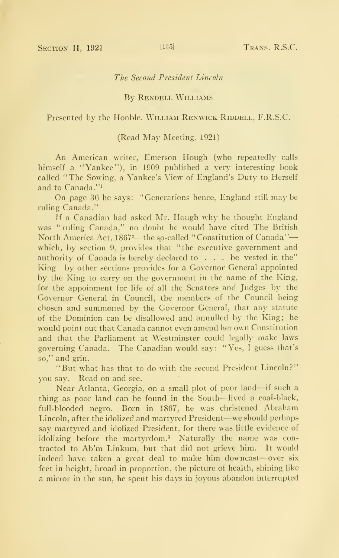## The Second President Lincoln

# By Rendell Williams

# Presented by the Honble. WILLIAM RENWICK RIDDELL, F.R.S.C.

## (Read May Meeting, 1921)

An American writer, Emerson Hough (who repeatedly calls himself a "Yankee"), in 1909 published a very interesting book called "The Sowing, a Yankee's View of England's Duty to Herself and to Canada. "1

On page 36 he says: "Generations hence, England still maybe ruling Canada."

If a Canadian had asked Mr. Hough why he thought England was "ruling Canada," no doubt he would have cited The British North America Act, 1867<sup>2</sup>—the so-called "Constitution of Canada" which, by section 9, provides that "the executive government and authority of Canada is hereby declared to ... be vested in the" King—by other sections provides for <sup>a</sup> Governor General appointed by the King to carry on the government in the name of the King, for the appoinment for life of all the Senators and Judges by the Governor General in Council, the members of the Council being chosen and summoned by the Governor General, that any statute of the Dominion can be disallowed and annulled by the King; he would point out that Canada cannot even amend her own Constitution and that the Parliament at Westminster could legally make laws governing Canada. The Canadian would say: "Yes, <sup>I</sup> guess that's so," and grin.

"But what has that to do with the second President Lincoln?" you say. Read on and see.

Near Atlanta, Georgia, on <sup>a</sup> small plot of poor land—if such <sup>a</sup> thing as poor land can be found in the South—lived <sup>a</sup> coal-black, full-blooded negro. Born in 1867, he was christened Abraham Lincoln, after the idolized and martyred President—we should perhaps say martyred and idolized President, for there was little evidence of idolizing before the martyrdom.<sup>3</sup> Naturally the name was contracted to Ab'm Linkum, but that did not grieve him. It would indeed have taken a great deal to make him downcast—over six feet in height, broad in proportion, the picture of health, shining like a mirror in the sun, he spent his days in joyous abandon interrupted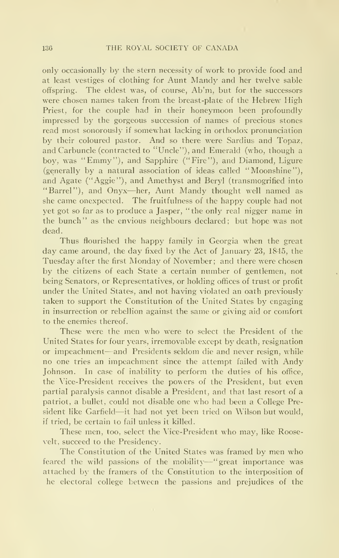only occasionally by the stern necessity of work to provide food and at least vestiges of clothing for Aunt Mandy and her twelve sable offspring. The eldest was, of course, Ab'm, but for the successors were chosen names taken from the breast-plate of the Hebrew High Priest, for the couple had in their honeymoon been profoundly impressed by the gorgeous succession of names of precious stones read most sonorously if somewhat lacking in orthodox pronunciation by their coloured pastor. And so there were Sardius and Topaz, and Carbuncle (contracted to "Uncle"), and Emerald (who, though a boy, was "Emmy"), and Sapphire ("Fire"), and Diamond, Ligure (generally by a natural association of ideas called "Moonshine"), and Agate ("Aggie"), and Amethyst and Beryl (transmogrified into "Barrel"), and Onyx—her. Aunt Mandy thought well named as she came onexpected. The fruitfulness of the happy couple had not yet got so far as to produce a Jasper, "the only real nigger name in the bunch" as the envious neighbours declared; but hope was not dead.

Thus flourished the happy family in Georgia when the great day came around, the day fixed by the Act of January 23, 1845, the Tuesday after the first Monday of November; and there were chosen by the citizens of each State a certain number of gentlemen, not being Senators, or Representatives, or holding offices of trust or profit under the United States, and not having violated an oath previously taken to support the Constitution of the United States by engaging in insurrection or rebellion against the same or giving aid or comfort to the enemies thereof.

These were the men who were to select the President of the United States for four years, irremovable except by death, resignation or impeachment—and Presidents seldom die and never resign, while no one tries an impeachment since the attempt failed with Andy Johnson. In case of inability to perform the duties of his office, the Vice-President receives the powers of the President, but even partial paralysis cannot disable a President, and that last resort of a patriot, a bullet, could not disable one who had been a College President like Garfield—it had not yet been tried on Wilson but would, if tried, be certain to fail unless it killed.

These men, too, select the Vice-President who may, like Roosevelt, succeed to the Presidency.

The Constitution of the United States was framed by men who feared the wild passions of the mobility--"great importance was attached by the framers of the Constitution to the interposition of he electoral college between the passions and prejudices of the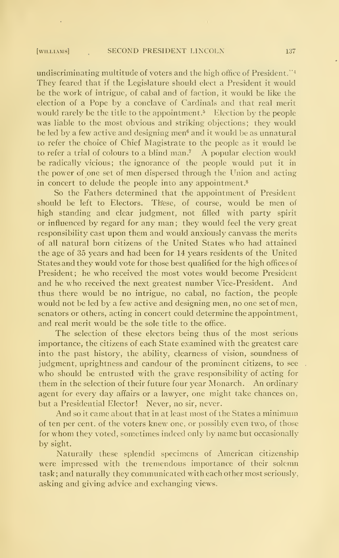## [WILLIAMS] SECOND PRESIDENT LINCOLN 137

undiscriminating multitude of voters and the high office of President.<sup> $\mathbb{S}^1$ </sup> They feared that if the Legislature should elect a President it would be the work of intrigue, of cabal and of faction, it would be like the election of a Pope by a conclave of Cardinals and that real merit would rarely be the title to the appointment.<sup>5</sup> Election by the people was liable to the most obvious and striking objections; they would be led by a few active and designing men<sup>6</sup> and it would be as unnatural to refer the choice of Chief Magistrate to the people as it would be to refer a trial of colours to a blind man.<sup>7</sup> A popular election would be radically vicious; the ignorance of the people would put it in the power of one set of men dispersed through the Union and acting in concert to delude the people into any appointment.<sup>8</sup>

So the Fathers determined that the appointment of President should be left to Electors. These, of course, would be men of high standing and clear judgment, not filled with party spirit or influenced by regard for any man; they would feel the very great responsibility cast upon them and would anxiously canvass the merits of all natural born citizens of the United States who had attained the age of 35 years and had been for 14 years residents of the United States and they would vote for those best qualified for the high offices of President; he who received the most votes would become President and he who received the next greatest number Vice-President. And thus there would be no intrigue, no cabal, no faction, the people would not be led by a few active and designing men, no one set of men, senators or others, acting in concert could determine the appointment, and real merit would be the sole title to the office.

The selection of these electors being thus of the most serious importance, the citizens of each State examined with the greatest care into the past history, the ability, clearness of vision, soundness of judgment, uprightness and candour of the prominent citizens, to see who should be entrusted with the grave responsibility of acting for them in the selection of their future four year Monarch. An ordinary agent for every day affairs or a lawyer, one might take chances on, but a Presidential Elector! Never, no sir, never.

And so it came about that in at least most of the States a minimum of ten per cent, of the voters knew one, or possibly even two, of those for whom they voted, sometimes indeed only by name but occasionally by sight.

Naturally these splendid specimens of American citizenship were impressed with the tremendous importance of their solemn task ; and naturally they communicated with each other most seriously, asking and giving advice and exchanging views.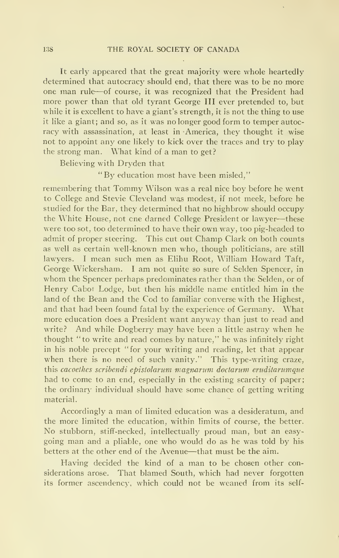It early appeared that the great majority were whole heartedly determined that autocracy should end, that there was to be no more one man rule—of course, it was recognized that the President had more power than that old tyrant George III ever pretended to, but while it is excellent to have a giant's strength, it is not the thing to use it like a giant; and so, as it was no longer good form to temper autoc racy with assassination, at least in America, they thought it wise not to appoint any one likely to kick over the traces and try to play the strong man. What kind of a man to get?

Believing with Dryden that

"By education most have been misled,"

remembering that Tommy Wilson was <sup>a</sup> real nice boy before he went to College and Stevie Cleveland was modest, if not meek, before he studied for the Bar, they determined that no highbrow should occupy the White House, not cne darned College President or lawyer—these were too sot, too determined to have their own way, too pig-headed to admit of proper steering. This cut out Champ Clark on both counts as well as certain well-known men who, though politicians, are still lawyers. <sup>I</sup> mean such men as Elihu Root, William Howard Taft, George Wickersham. <sup>I</sup> am not quite so sure of Selden Spencer, in whom the Spencer perhaps predominates rather than the Selden, or of Henry Cabot Lodge, but then his middle name entitled him in the land of the Bean and the Cod to familiar converse with the Highest, and that had been found fatal by the experience of Germany. What more education does a President want anyway than just to read and write? And while Dogberry may have been a little astray when he thought "to write and read comes by nature," he was infinitely right in his noble precept "for your writing and reading, let that appear when there is no need of such vanity." This type-writing craze, this cacoethes scribendi epistolarum magnarum doctarum eruditarumque had to come to an end, especially in the existing scarcity of paper; the ordinary individual should have some chance of getting writing material.

Accordingly a man of limited education was <sup>a</sup> desideratum, and the more limited the education, within limits of course, the better. No stubborn, stiff-necked, intellectually proud man, but an easy going man and a pliable, one who would do as he was told by his betters at the other end of the Avenue—that must be the aim.

Having decided the kind of a man to be chosen other considerations arose. That blamed South, which had never forgotten its former ascendencv, which could not be weaned from its self-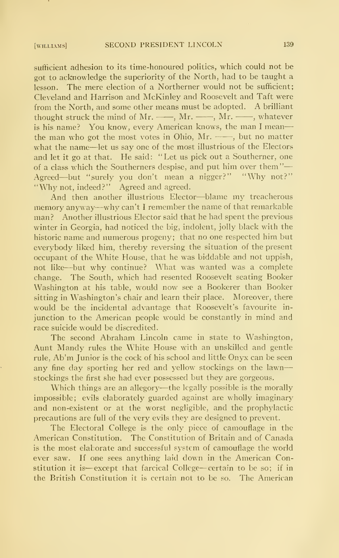sufficient adhesion to its time-honoured politics, which could not be got to acknowledge the superiority of the North, had to be taught a lesson. The mere election of a Northerner would not be sufficient; Cleveland and Harrison and McKinley and Roosevelt and Taft were from the North, and some other means must be adopted. A brilliant thought struck the mind of Mr.  $\longrightarrow$ , Mr.  $\longrightarrow$ , Mr.  $\longrightarrow$ , whatever is his name? You know, every American knows, the man <sup>I</sup> mean the man who got the most votes in Ohio,  $Mr. \longrightarrow$ , but no matter what the name—let us say one of the most illustrious of the Electors and let it go at that. He said: "Let us pick out a Southerner, one of a class which the Southerners despise, and put him over them" Agreed—but "surely you don't mean a nigger?" "Why not?" "Why not, indeed?" Agreed and agreed.

And then another illustrious Elector—blame my treacherous memory anyway—why can't <sup>I</sup> remember the name of that remarkable man? Another illustrious Elector said that he had spent the previous winter in Georgia, had noticed the big, indolent, jolly black with the historic name and numerous progeny; that no one respected him but everybody liked him, thereby reversing the situation of the present occupant of the White House, that he was biddable and not uppish, not like—but why continue? What was wanted was a complete change. The South, which had resented Roosevelt seating Booker Washington at his table, would now see a Bookerer than Booker sitting in Washington's chair and learn their place. Moreover, there would be the incidental advantage that Roosevelt's favourite in junction to the American people would be constantly in mind and race suicide would be discredited.

The second Abraham Lincoln came in state to Washington, Aunt Mandy rules the White House with an unskilled and gentle rule, Ab'm Junior is the cock of his school and little Onyx can be seen any fine day sporting her red and yellow stockings on the lawn stockings the first she had ever possessed but they are gorgeous.

Which things are an allegory—the legally possible is the morally impossible; evils elaborately guarded against are wholly imaginary and non-existent or at the worst negligible, and the prophylactic precautions are full of the very evils they are designed to prevent.

The Electoral College is the only piece of camouflage in the American Constitution. The Constitution of Britain and of Canada is the most elaborate and successful system of camouflage the world ever saw. If one sees anything laid down in the American Constitution it is—except that farcical College—certain to be so; if in the British Constitution it is certain not to be so. The American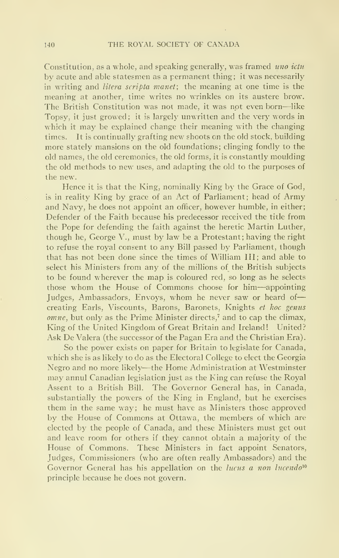Constitution, as a whole, and speaking generally, was framed uno ictu by acute and able statesmen as a permanent thing; it was necessarily in writing and litera scripta manet; the meaning at one time is the meaning at another, time writes no wrinkles on its austere brow. The British Constitution was not made, it was not even born—like Topsy, it just growed; it is largely unwritten and the very words in which it may be explained change their meaning with the changing times. It is continually grafting new shoots on the old stock, building more stately mansions on the old foundations; clinging fondly to the old names, the old ceremonies, the old forms, it is constantly moulding the old methods to new uses, and adapting the old to the purposes of the new.

Hence it is that the King, nominally King by the Grace of God, is in reality King by grace of an Act of Parliament; head of Army and Navy, he does not appoint an officer, however humble, in either; Defender of the Faith because his predecessor received the title from the Pope for defending the faith against the heretic Martin Luther, though he, George V., must by law be a Protestant; having the right to refuse the royal consent to any Bill passed by Parliament, though that has not been done since the times of William III; and able to select his Ministers from any of the millions of the British subjects to be found wherever the map is coloured red, so long as he selects those whom the House of Commons choose for him—appointing Judges, Ambassadors, Envoys, whom he never saw or heard of creating Earls, Viscounts, Barons, Baronets, Knights et hoc genus  $omne$ , but only as the Prime Minister directs,<sup>7</sup> and to cap the climax, King of the United Kingdom of Great Britain and Ireland! United? Ask De Valera (the successor of the Pagan Era and the Christian Era).

So the power exists on paper for Britain to legislate for Canada, which she is as likely to do as the Electoral College to elect the Georgia Negro and no more likely-—the Home Administration at Westminster may annul Canadian legislation just as the King can refuse the Royal Assent to a British Bill. The Governor General has, in Canada, substantially the powers of the King in England, but he exercises them in the same way; he must have as Ministers those approved by the House of Commons at Ottawa, the members of which are elected by the people of Canada, and these Ministers must get out and leave room for others if they cannot obtain a majority of the House of Commons. These Ministers in fact appoint Senators, Judges, Commissioners (who are often really Ambassadors) and the Governor General has his appellation on the *lucus a non lucendo*<sup>10</sup> principle because he does not govern.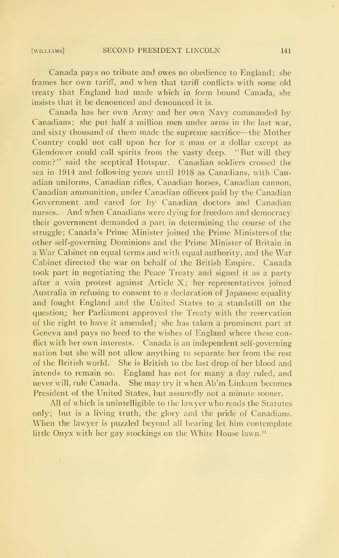Canada pays no tribute and owes no obedience to England; she frames her own tariff, and when that tariff conflicts with some old treaty that England had made which in form bound Canada, she insists that it be denounced and denounced it is.

Canada has her own Army and her own Navy commanded by Canadians; she put half a million men under arms in the last war, and sixty thousand of them made the supreme sacrifice—the Mother Country could not call upon her for a man or a dollar except as Glendower could call spirits from the vasty deep. "But will they come?" said the sceptical Hotspur. Canadian soldiers crossed the sea in 1914 and following years until 1918 as Canadians, with Canadian uniforms, Canadian rifles, Canadian horses, Canadian cannon, Canadian ammunition, under Canadian officers paid by the Canadian Government and cared for by Canadian doctors and Canadian nurses. And when Canadians were dying for freedom and democracy their government demanded a part in determining the course of the struggle; Canada's Prime Minister joined the Prime Ministers of the other self-governing Dominions and the Prime Minister of Britain in a War Cabinet on equal terms and with equal authority, and the War Cabinet directed the war on behalf of the British Empire. Canada took part in negotiating the Peace Treaty and signed it as a party after a vain protest against Article X; her representatives joined Australia in refusing to consent to a declaration of Japanese equality and fought England and the United States to a standstill on the question; her Parliament approved the Treaty with the reservation of the right to have it amended; she has taken a prominent part at Geneva and pays no heed to the wishes of England where these conflict with her own interests. Canada is an independent self-governing nation but she will not allow anything to separate her from the rest of the British world. She is British to the last drop of her blood and intends to remain so. England has not for many a day ruled, and never will, rule Canada. She may try it when Ab'm Linkum becomes President of the United States, but assuredly not a minute sooner.

All of which is unintelligible to the lawyer who reads the Statutes only; but is a living truth, the glory and the pride of Canadians. When the lawyer is puzzled beyond all bearing let him contemplate little Onyx with her gay stockings on the White House lawn."